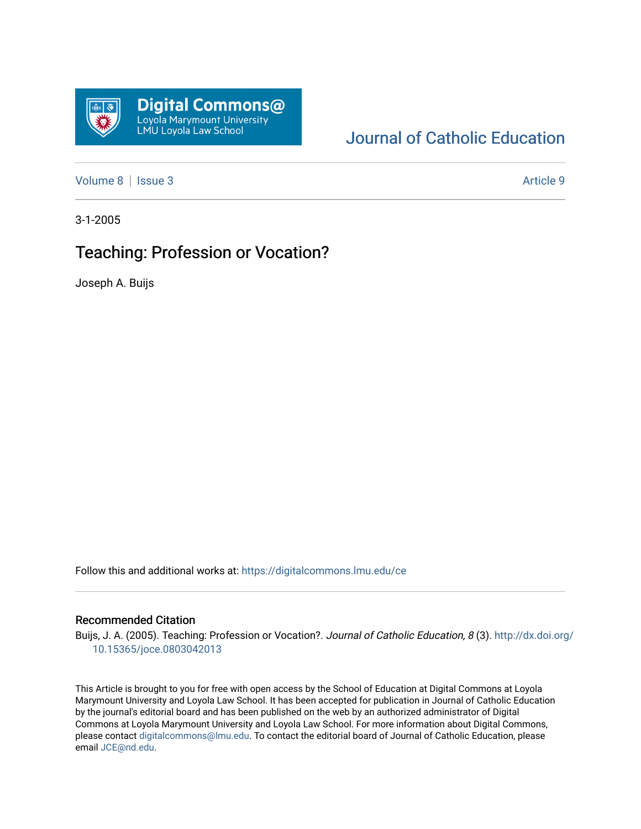

# [Journal of Catholic Education](https://digitalcommons.lmu.edu/ce)

[Volume 8](https://digitalcommons.lmu.edu/ce/vol8) | [Issue 3](https://digitalcommons.lmu.edu/ce/vol8/iss3) Article 9

3-1-2005

# Teaching: Profession or Vocation?

Joseph A. Buijs

Follow this and additional works at: [https://digitalcommons.lmu.edu/ce](https://digitalcommons.lmu.edu/ce?utm_source=digitalcommons.lmu.edu%2Fce%2Fvol8%2Fiss3%2F9&utm_medium=PDF&utm_campaign=PDFCoverPages)

#### Recommended Citation

Buijs, J. A. (2005). Teaching: Profession or Vocation?. Journal of Catholic Education, 8 (3). [http://dx.doi.org/](http://dx.doi.org/10.15365/joce.0803042013) [10.15365/joce.0803042013](http://dx.doi.org/10.15365/joce.0803042013) 

This Article is brought to you for free with open access by the School of Education at Digital Commons at Loyola Marymount University and Loyola Law School. It has been accepted for publication in Journal of Catholic Education by the journal's editorial board and has been published on the web by an authorized administrator of Digital Commons at Loyola Marymount University and Loyola Law School. For more information about Digital Commons, please contact [digitalcommons@lmu.edu](mailto:digitalcommons@lmu.edu). To contact the editorial board of Journal of Catholic Education, please email [JCE@nd.edu](mailto:JCE@nd.edu).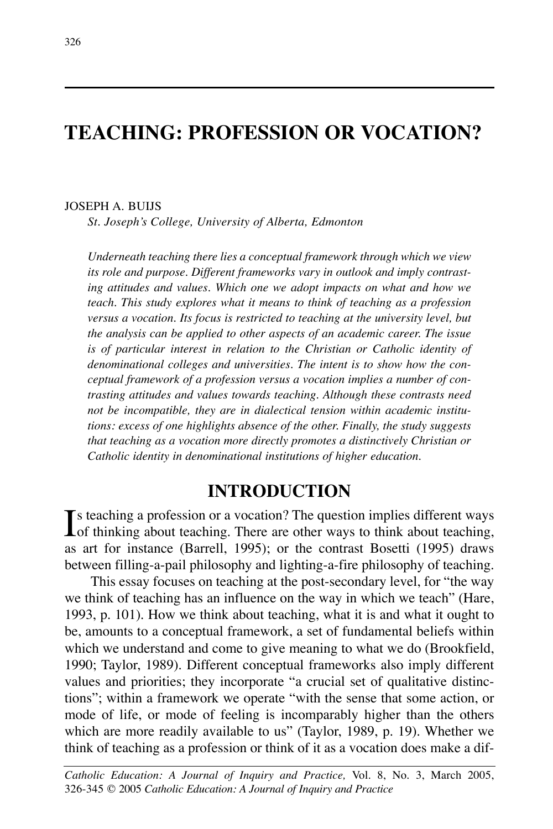# **TEACHING: PROFESSION OR VOCATION?**

#### JOSEPH A. BUIJS

*St. Joseph's College, University of Alberta, Edmonton*

*Underneath teaching there lies a conceptual framework through which we view its role and purpose. Different frameworks vary in outlook and imply contrasting attitudes and values. Which one we adopt impacts on what and how we teach. This study explores what it means to think of teaching as a profession versus a vocation. Its focus is restricted to teaching at the university level, but the analysis can be applied to other aspects of an academic career. The issue is of particular interest in relation to the Christian or Catholic identity of denominational colleges and universities. The intent is to show how the conceptual framework of a profession versus a vocation implies a number of contrasting attitudes and values towards teaching. Although these contrasts need not be incompatible, they are in dialectical tension within academic institutions: excess of one highlights absence of the other. Finally, the study suggests that teaching as a vocation more directly promotes a distinctively Christian or Catholic identity in denominational institutions of higher education.*

### **INTRODUCTION**

Is teaching a profession or a vocation? The question implies different ways of thinking about teaching. There are other ways to think about teaching,  $\mathbf{T}$ s teaching a profession or a vocation? The question implies different ways as art for instance (Barrell, 1995); or the contrast Bosetti (1995) draws between filling-a-pail philosophy and lighting-a-fire philosophy of teaching.

This essay focuses on teaching at the post-secondary level, for "the way we think of teaching has an influence on the way in which we teach" (Hare, 1993, p. 101). How we think about teaching, what it is and what it ought to be, amounts to a conceptual framework, a set of fundamental beliefs within which we understand and come to give meaning to what we do (Brookfield, 1990; Taylor, 1989). Different conceptual frameworks also imply different values and priorities; they incorporate "a crucial set of qualitative distinctions"; within a framework we operate "with the sense that some action, or mode of life, or mode of feeling is incomparably higher than the others which are more readily available to us" (Taylor, 1989, p. 19). Whether we think of teaching as a profession or think of it as a vocation does make a dif-

*Catholic Education: A Journal of Inquiry and Practice,* Vol. 8, No. 3, March 2005, 326-345 © 2005 *Catholic Education: A Journal of Inquiry and Practice*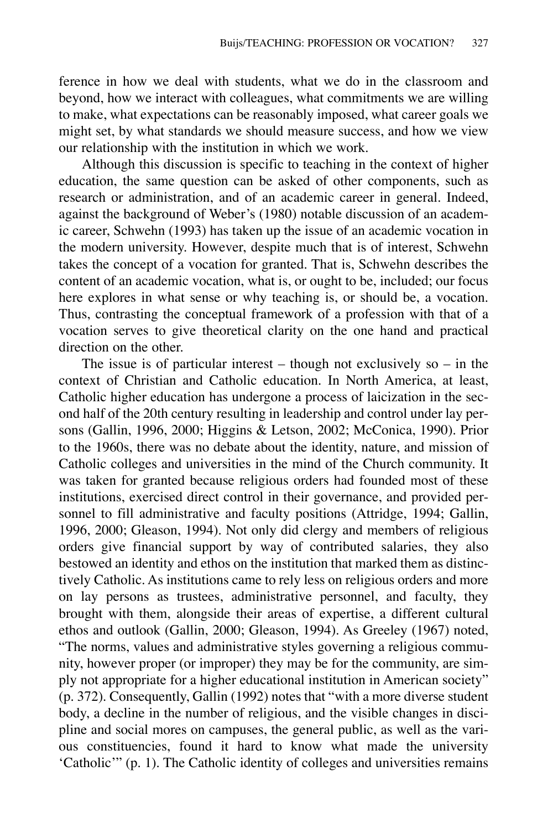ference in how we deal with students, what we do in the classroom and beyond, how we interact with colleagues, what commitments we are willing to make, what expectations can be reasonably imposed, what career goals we might set, by what standards we should measure success, and how we view our relationship with the institution in which we work.

Although this discussion is specific to teaching in the context of higher education, the same question can be asked of other components, such as research or administration, and of an academic career in general. Indeed, against the background of Weber's (1980) notable discussion of an academic career, Schwehn (1993) has taken up the issue of an academic vocation in the modern university. However, despite much that is of interest, Schwehn takes the concept of a vocation for granted. That is, Schwehn describes the content of an academic vocation, what is, or ought to be, included; our focus here explores in what sense or why teaching is, or should be, a vocation. Thus, contrasting the conceptual framework of a profession with that of a vocation serves to give theoretical clarity on the one hand and practical direction on the other.

The issue is of particular interest – though not exclusively so – in the context of Christian and Catholic education. In North America, at least, Catholic higher education has undergone a process of laicization in the second half of the 20th century resulting in leadership and control under lay persons (Gallin, 1996, 2000; Higgins & Letson, 2002; McConica, 1990). Prior to the 1960s, there was no debate about the identity, nature, and mission of Catholic colleges and universities in the mind of the Church community. It was taken for granted because religious orders had founded most of these institutions, exercised direct control in their governance, and provided personnel to fill administrative and faculty positions (Attridge, 1994; Gallin, 1996, 2000; Gleason, 1994). Not only did clergy and members of religious orders give financial support by way of contributed salaries, they also bestowed an identity and ethos on the institution that marked them as distinctively Catholic. As institutions came to rely less on religious orders and more on lay persons as trustees, administrative personnel, and faculty, they brought with them, alongside their areas of expertise, a different cultural ethos and outlook (Gallin, 2000; Gleason, 1994). As Greeley (1967) noted, "The norms, values and administrative styles governing a religious community, however proper (or improper) they may be for the community, are simply not appropriate for a higher educational institution in American society" (p. 372). Consequently, Gallin (1992) notes that "with a more diverse student body, a decline in the number of religious, and the visible changes in discipline and social mores on campuses, the general public, as well as the various constituencies, found it hard to know what made the university 'Catholic'" (p. 1). The Catholic identity of colleges and universities remains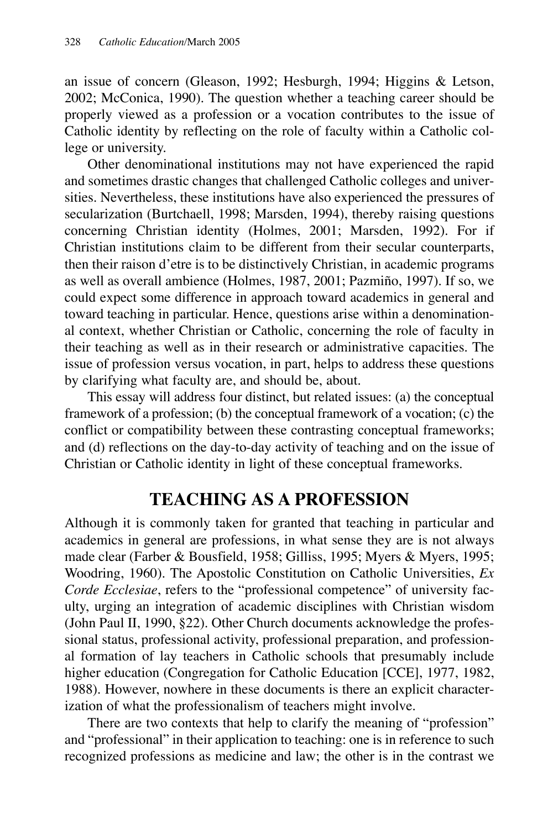an issue of concern (Gleason, 1992; Hesburgh, 1994; Higgins & Letson, 2002; McConica, 1990). The question whether a teaching career should be properly viewed as a profession or a vocation contributes to the issue of Catholic identity by reflecting on the role of faculty within a Catholic college or university.

Other denominational institutions may not have experienced the rapid and sometimes drastic changes that challenged Catholic colleges and universities. Nevertheless, these institutions have also experienced the pressures of secularization (Burtchaell, 1998; Marsden, 1994), thereby raising questions concerning Christian identity (Holmes, 2001; Marsden, 1992). For if Christian institutions claim to be different from their secular counterparts, then their raison d'etre is to be distinctively Christian, in academic programs as well as overall ambience (Holmes, 1987, 2001; Pazmiño, 1997). If so, we could expect some difference in approach toward academics in general and toward teaching in particular. Hence, questions arise within a denominational context, whether Christian or Catholic, concerning the role of faculty in their teaching as well as in their research or administrative capacities. The issue of profession versus vocation, in part, helps to address these questions by clarifying what faculty are, and should be, about.

This essay will address four distinct, but related issues: (a) the conceptual framework of a profession; (b) the conceptual framework of a vocation; (c) the conflict or compatibility between these contrasting conceptual frameworks; and (d) reflections on the day-to-day activity of teaching and on the issue of Christian or Catholic identity in light of these conceptual frameworks.

## **TEACHING AS A PROFESSION**

Although it is commonly taken for granted that teaching in particular and academics in general are professions, in what sense they are is not always made clear (Farber & Bousfield, 1958; Gilliss, 1995; Myers & Myers, 1995; Woodring, 1960). The Apostolic Constitution on Catholic Universities, *Ex Corde Ecclesiae*, refers to the "professional competence" of university faculty, urging an integration of academic disciplines with Christian wisdom (John Paul II, 1990, §22). Other Church documents acknowledge the professional status, professional activity, professional preparation, and professional formation of lay teachers in Catholic schools that presumably include higher education (Congregation for Catholic Education [CCE], 1977, 1982, 1988). However, nowhere in these documents is there an explicit characterization of what the professionalism of teachers might involve.

There are two contexts that help to clarify the meaning of "profession" and "professional" in their application to teaching: one is in reference to such recognized professions as medicine and law; the other is in the contrast we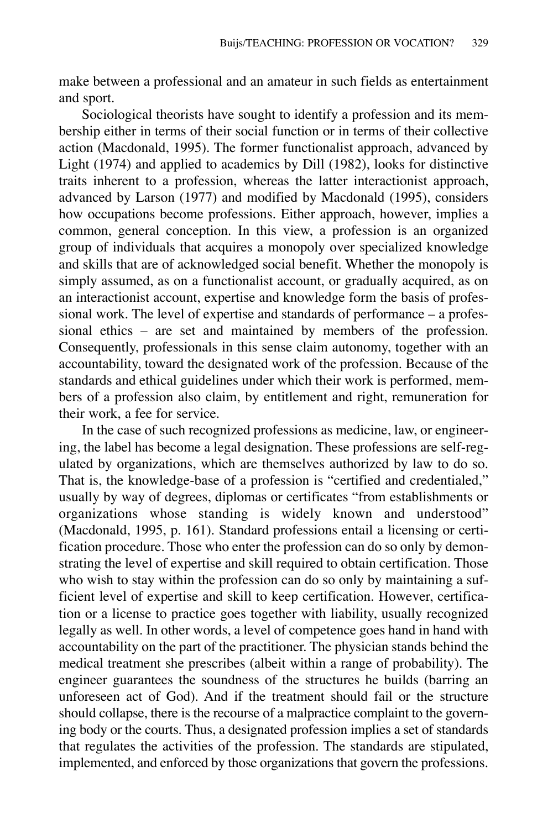make between a professional and an amateur in such fields as entertainment and sport.

Sociological theorists have sought to identify a profession and its membership either in terms of their social function or in terms of their collective action (Macdonald, 1995). The former functionalist approach, advanced by Light (1974) and applied to academics by Dill (1982), looks for distinctive traits inherent to a profession, whereas the latter interactionist approach, advanced by Larson (1977) and modified by Macdonald (1995), considers how occupations become professions. Either approach, however, implies a common, general conception. In this view, a profession is an organized group of individuals that acquires a monopoly over specialized knowledge and skills that are of acknowledged social benefit. Whether the monopoly is simply assumed, as on a functionalist account, or gradually acquired, as on an interactionist account, expertise and knowledge form the basis of professional work. The level of expertise and standards of performance – a professional ethics – are set and maintained by members of the profession. Consequently, professionals in this sense claim autonomy, together with an accountability, toward the designated work of the profession. Because of the standards and ethical guidelines under which their work is performed, members of a profession also claim, by entitlement and right, remuneration for their work, a fee for service.

In the case of such recognized professions as medicine, law, or engineering, the label has become a legal designation. These professions are self-regulated by organizations, which are themselves authorized by law to do so. That is, the knowledge-base of a profession is "certified and credentialed," usually by way of degrees, diplomas or certificates "from establishments or organizations whose standing is widely known and understood" (Macdonald, 1995, p. 161). Standard professions entail a licensing or certification procedure. Those who enter the profession can do so only by demonstrating the level of expertise and skill required to obtain certification. Those who wish to stay within the profession can do so only by maintaining a sufficient level of expertise and skill to keep certification. However, certification or a license to practice goes together with liability, usually recognized legally as well. In other words, a level of competence goes hand in hand with accountability on the part of the practitioner. The physician stands behind the medical treatment she prescribes (albeit within a range of probability). The engineer guarantees the soundness of the structures he builds (barring an unforeseen act of God). And if the treatment should fail or the structure should collapse, there is the recourse of a malpractice complaint to the governing body or the courts. Thus, a designated profession implies a set of standards that regulates the activities of the profession. The standards are stipulated, implemented, and enforced by those organizations that govern the professions.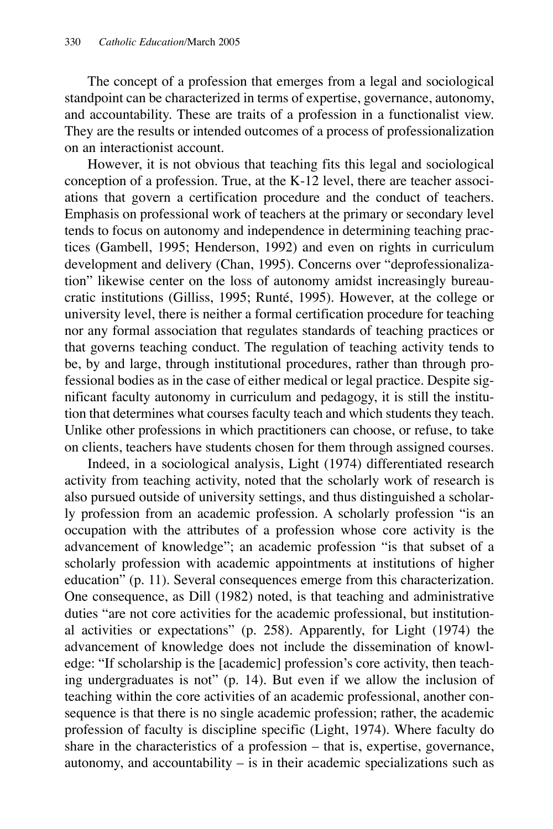The concept of a profession that emerges from a legal and sociological standpoint can be characterized in terms of expertise, governance, autonomy, and accountability. These are traits of a profession in a functionalist view. They are the results or intended outcomes of a process of professionalization on an interactionist account.

However, it is not obvious that teaching fits this legal and sociological conception of a profession. True, at the K-12 level, there are teacher associations that govern a certification procedure and the conduct of teachers. Emphasis on professional work of teachers at the primary or secondary level tends to focus on autonomy and independence in determining teaching practices (Gambell, 1995; Henderson, 1992) and even on rights in curriculum development and delivery (Chan, 1995). Concerns over "deprofessionalization" likewise center on the loss of autonomy amidst increasingly bureaucratic institutions (Gilliss, 1995; Runté, 1995). However, at the college or university level, there is neither a formal certification procedure for teaching nor any formal association that regulates standards of teaching practices or that governs teaching conduct. The regulation of teaching activity tends to be, by and large, through institutional procedures, rather than through professional bodies as in the case of either medical or legal practice. Despite significant faculty autonomy in curriculum and pedagogy, it is still the institution that determines what courses faculty teach and which students they teach. Unlike other professions in which practitioners can choose, or refuse, to take on clients, teachers have students chosen for them through assigned courses.

Indeed, in a sociological analysis, Light (1974) differentiated research activity from teaching activity, noted that the scholarly work of research is also pursued outside of university settings, and thus distinguished a scholarly profession from an academic profession. A scholarly profession "is an occupation with the attributes of a profession whose core activity is the advancement of knowledge"; an academic profession "is that subset of a scholarly profession with academic appointments at institutions of higher education" (p. 11). Several consequences emerge from this characterization. One consequence, as Dill (1982) noted, is that teaching and administrative duties "are not core activities for the academic professional, but institutional activities or expectations" (p. 258). Apparently, for Light (1974) the advancement of knowledge does not include the dissemination of knowledge: "If scholarship is the [academic] profession's core activity, then teaching undergraduates is not" (p. 14). But even if we allow the inclusion of teaching within the core activities of an academic professional, another consequence is that there is no single academic profession; rather, the academic profession of faculty is discipline specific (Light, 1974). Where faculty do share in the characteristics of a profession – that is, expertise, governance, autonomy, and accountability  $-$  is in their academic specializations such as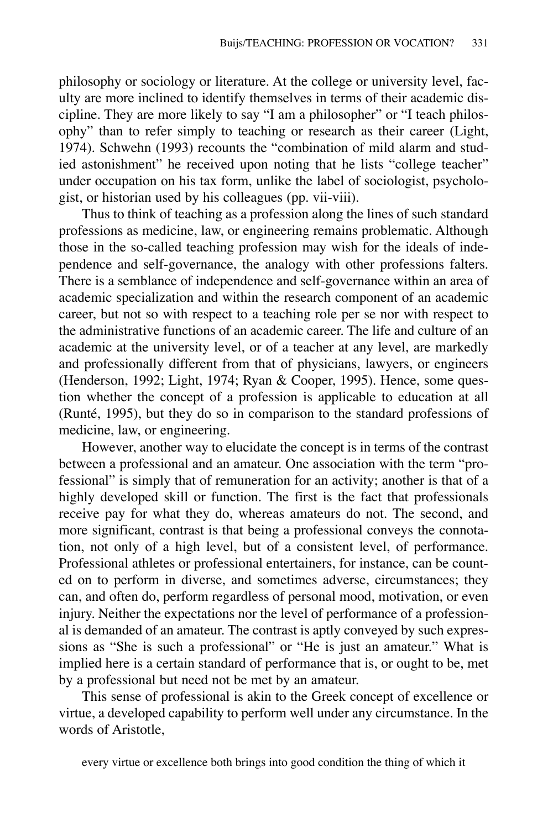philosophy or sociology or literature. At the college or university level, faculty are more inclined to identify themselves in terms of their academic discipline. They are more likely to say "I am a philosopher" or "I teach philosophy" than to refer simply to teaching or research as their career (Light, 1974). Schwehn (1993) recounts the "combination of mild alarm and studied astonishment" he received upon noting that he lists "college teacher" under occupation on his tax form, unlike the label of sociologist, psychologist, or historian used by his colleagues (pp. vii-viii).

Thus to think of teaching as a profession along the lines of such standard professions as medicine, law, or engineering remains problematic. Although those in the so-called teaching profession may wish for the ideals of independence and self-governance, the analogy with other professions falters. There is a semblance of independence and self-governance within an area of academic specialization and within the research component of an academic career, but not so with respect to a teaching role per se nor with respect to the administrative functions of an academic career. The life and culture of an academic at the university level, or of a teacher at any level, are markedly and professionally different from that of physicians, lawyers, or engineers (Henderson, 1992; Light, 1974; Ryan & Cooper, 1995). Hence, some question whether the concept of a profession is applicable to education at all (Runté, 1995), but they do so in comparison to the standard professions of medicine, law, or engineering.

However, another way to elucidate the concept is in terms of the contrast between a professional and an amateur. One association with the term "professional" is simply that of remuneration for an activity; another is that of a highly developed skill or function. The first is the fact that professionals receive pay for what they do, whereas amateurs do not. The second, and more significant, contrast is that being a professional conveys the connotation, not only of a high level, but of a consistent level, of performance. Professional athletes or professional entertainers, for instance, can be counted on to perform in diverse, and sometimes adverse, circumstances; they can, and often do, perform regardless of personal mood, motivation, or even injury. Neither the expectations nor the level of performance of a professional is demanded of an amateur. The contrast is aptly conveyed by such expressions as "She is such a professional" or "He is just an amateur." What is implied here is a certain standard of performance that is, or ought to be, met by a professional but need not be met by an amateur.

This sense of professional is akin to the Greek concept of excellence or virtue, a developed capability to perform well under any circumstance. In the words of Aristotle,

every virtue or excellence both brings into good condition the thing of which it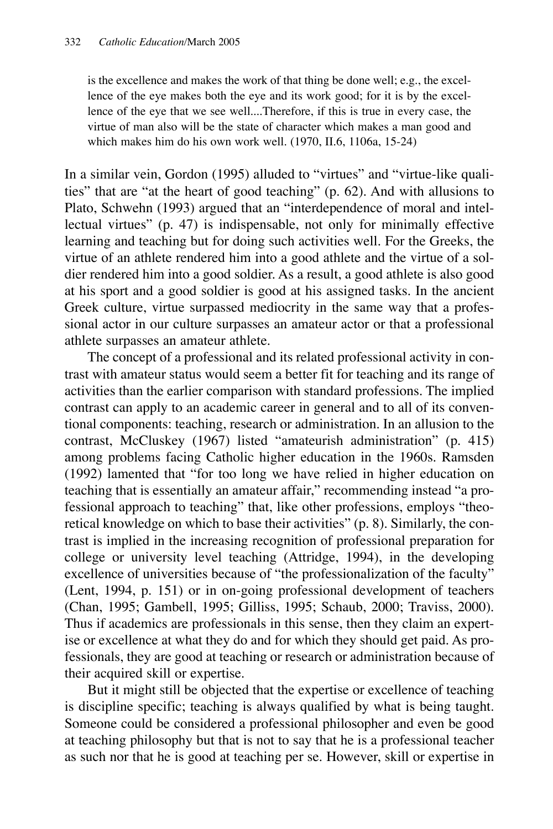is the excellence and makes the work of that thing be done well; e.g., the excellence of the eye makes both the eye and its work good; for it is by the excellence of the eye that we see well....Therefore, if this is true in every case, the virtue of man also will be the state of character which makes a man good and which makes him do his own work well. (1970, II.6, 1106a, 15-24)

In a similar vein, Gordon (1995) alluded to "virtues" and "virtue-like qualities" that are "at the heart of good teaching" (p. 62). And with allusions to Plato, Schwehn (1993) argued that an "interdependence of moral and intellectual virtues" (p. 47) is indispensable, not only for minimally effective learning and teaching but for doing such activities well. For the Greeks, the virtue of an athlete rendered him into a good athlete and the virtue of a soldier rendered him into a good soldier. As a result, a good athlete is also good at his sport and a good soldier is good at his assigned tasks. In the ancient Greek culture, virtue surpassed mediocrity in the same way that a professional actor in our culture surpasses an amateur actor or that a professional athlete surpasses an amateur athlete.

The concept of a professional and its related professional activity in contrast with amateur status would seem a better fit for teaching and its range of activities than the earlier comparison with standard professions. The implied contrast can apply to an academic career in general and to all of its conventional components: teaching, research or administration. In an allusion to the contrast, McCluskey (1967) listed "amateurish administration" (p. 415) among problems facing Catholic higher education in the 1960s. Ramsden (1992) lamented that "for too long we have relied in higher education on teaching that is essentially an amateur affair," recommending instead "a professional approach to teaching" that, like other professions, employs "theoretical knowledge on which to base their activities" (p. 8). Similarly, the contrast is implied in the increasing recognition of professional preparation for college or university level teaching (Attridge, 1994), in the developing excellence of universities because of "the professionalization of the faculty" (Lent, 1994, p. 151) or in on-going professional development of teachers (Chan, 1995; Gambell, 1995; Gilliss, 1995; Schaub, 2000; Traviss, 2000). Thus if academics are professionals in this sense, then they claim an expertise or excellence at what they do and for which they should get paid. As professionals, they are good at teaching or research or administration because of their acquired skill or expertise.

But it might still be objected that the expertise or excellence of teaching is discipline specific; teaching is always qualified by what is being taught. Someone could be considered a professional philosopher and even be good at teaching philosophy but that is not to say that he is a professional teacher as such nor that he is good at teaching per se. However, skill or expertise in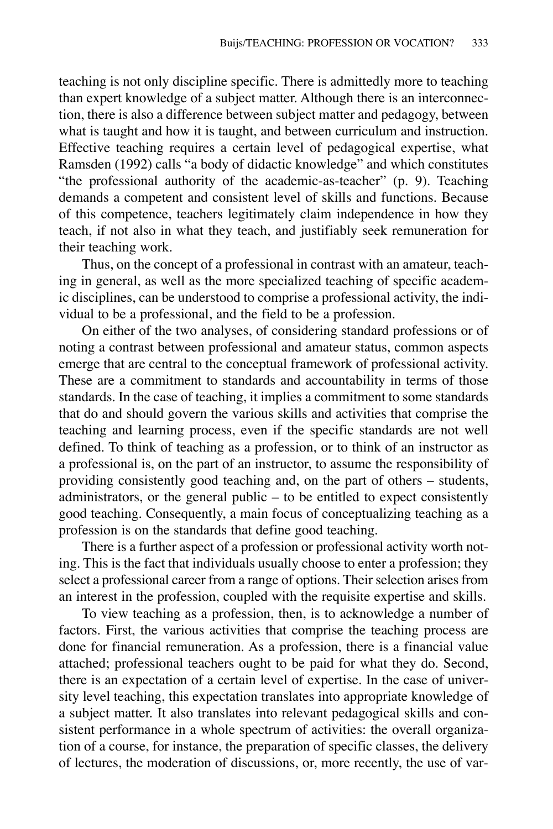teaching is not only discipline specific. There is admittedly more to teaching than expert knowledge of a subject matter. Although there is an interconnection, there is also a difference between subject matter and pedagogy, between what is taught and how it is taught, and between curriculum and instruction. Effective teaching requires a certain level of pedagogical expertise, what Ramsden (1992) calls "a body of didactic knowledge" and which constitutes "the professional authority of the academic-as-teacher" (p. 9). Teaching demands a competent and consistent level of skills and functions. Because of this competence, teachers legitimately claim independence in how they teach, if not also in what they teach, and justifiably seek remuneration for their teaching work.

Thus, on the concept of a professional in contrast with an amateur, teaching in general, as well as the more specialized teaching of specific academic disciplines, can be understood to comprise a professional activity, the individual to be a professional, and the field to be a profession.

On either of the two analyses, of considering standard professions or of noting a contrast between professional and amateur status, common aspects emerge that are central to the conceptual framework of professional activity. These are a commitment to standards and accountability in terms of those standards. In the case of teaching, it implies a commitment to some standards that do and should govern the various skills and activities that comprise the teaching and learning process, even if the specific standards are not well defined. To think of teaching as a profession, or to think of an instructor as a professional is, on the part of an instructor, to assume the responsibility of providing consistently good teaching and, on the part of others – students, administrators, or the general public  $-$  to be entitled to expect consistently good teaching. Consequently, a main focus of conceptualizing teaching as a profession is on the standards that define good teaching.

There is a further aspect of a profession or professional activity worth noting. This is the fact that individuals usually choose to enter a profession; they select a professional career from a range of options. Their selection arises from an interest in the profession, coupled with the requisite expertise and skills.

To view teaching as a profession, then, is to acknowledge a number of factors. First, the various activities that comprise the teaching process are done for financial remuneration. As a profession, there is a financial value attached; professional teachers ought to be paid for what they do. Second, there is an expectation of a certain level of expertise. In the case of university level teaching, this expectation translates into appropriate knowledge of a subject matter. It also translates into relevant pedagogical skills and consistent performance in a whole spectrum of activities: the overall organization of a course, for instance, the preparation of specific classes, the delivery of lectures, the moderation of discussions, or, more recently, the use of var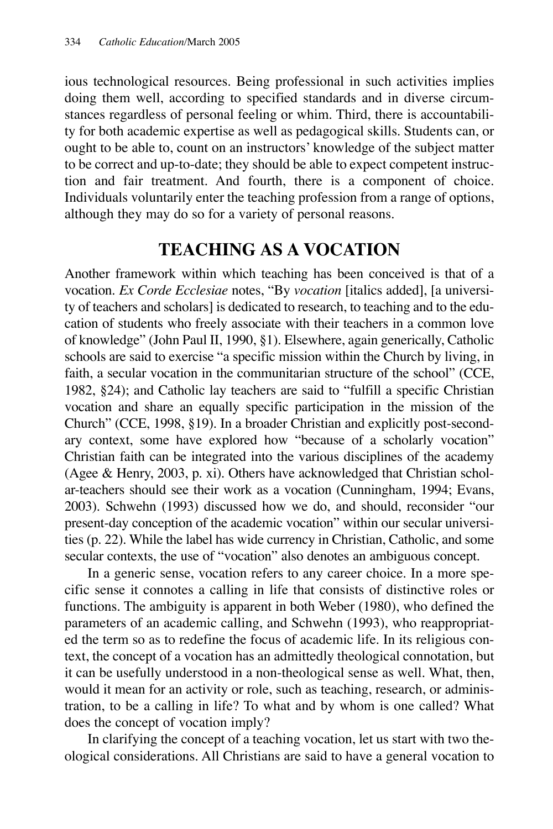ious technological resources. Being professional in such activities implies doing them well, according to specified standards and in diverse circumstances regardless of personal feeling or whim. Third, there is accountability for both academic expertise as well as pedagogical skills. Students can, or ought to be able to, count on an instructors' knowledge of the subject matter to be correct and up-to-date; they should be able to expect competent instruction and fair treatment. And fourth, there is a component of choice. Individuals voluntarily enter the teaching profession from a range of options, although they may do so for a variety of personal reasons.

## **TEACHING AS A VOCATION**

Another framework within which teaching has been conceived is that of a vocation. *Ex Corde Ecclesiae* notes, "By *vocation* [italics added], [a university of teachers and scholars] is dedicated to research, to teaching and to the education of students who freely associate with their teachers in a common love of knowledge" (John Paul II, 1990, §1). Elsewhere, again generically, Catholic schools are said to exercise "a specific mission within the Church by living, in faith, a secular vocation in the communitarian structure of the school" (CCE, 1982, §24); and Catholic lay teachers are said to "fulfill a specific Christian vocation and share an equally specific participation in the mission of the Church" (CCE, 1998, §19). In a broader Christian and explicitly post-secondary context, some have explored how "because of a scholarly vocation" Christian faith can be integrated into the various disciplines of the academy (Agee & Henry, 2003, p. xi). Others have acknowledged that Christian scholar-teachers should see their work as a vocation (Cunningham, 1994; Evans, 2003). Schwehn (1993) discussed how we do, and should, reconsider "our present-day conception of the academic vocation" within our secular universities (p. 22). While the label has wide currency in Christian, Catholic, and some secular contexts, the use of "vocation" also denotes an ambiguous concept.

In a generic sense, vocation refers to any career choice. In a more specific sense it connotes a calling in life that consists of distinctive roles or functions. The ambiguity is apparent in both Weber (1980), who defined the parameters of an academic calling, and Schwehn (1993), who reappropriated the term so as to redefine the focus of academic life. In its religious context, the concept of a vocation has an admittedly theological connotation, but it can be usefully understood in a non-theological sense as well. What, then, would it mean for an activity or role, such as teaching, research, or administration, to be a calling in life? To what and by whom is one called? What does the concept of vocation imply?

In clarifying the concept of a teaching vocation, let us start with two theological considerations. All Christians are said to have a general vocation to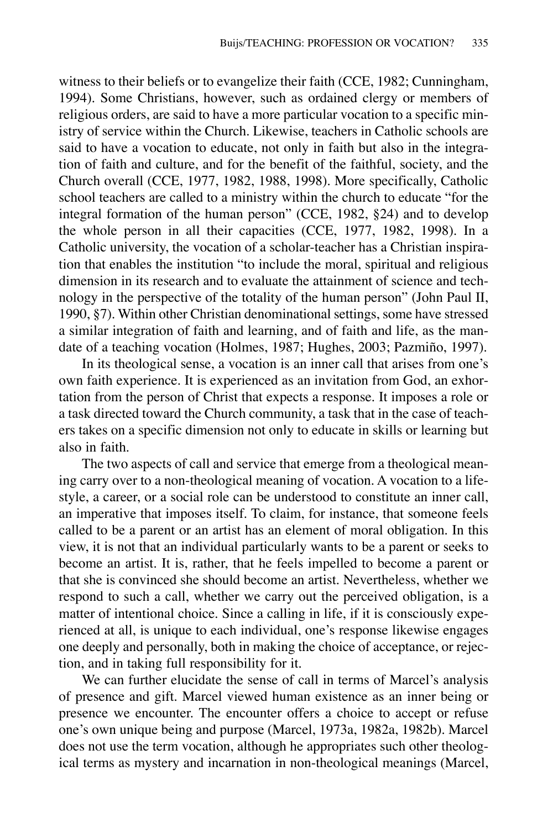witness to their beliefs or to evangelize their faith (CCE, 1982; Cunningham, 1994). Some Christians, however, such as ordained clergy or members of religious orders, are said to have a more particular vocation to a specific ministry of service within the Church. Likewise, teachers in Catholic schools are said to have a vocation to educate, not only in faith but also in the integration of faith and culture, and for the benefit of the faithful, society, and the Church overall (CCE, 1977, 1982, 1988, 1998). More specifically, Catholic school teachers are called to a ministry within the church to educate "for the integral formation of the human person" (CCE, 1982, §24) and to develop the whole person in all their capacities (CCE, 1977, 1982, 1998). In a Catholic university, the vocation of a scholar-teacher has a Christian inspiration that enables the institution "to include the moral, spiritual and religious dimension in its research and to evaluate the attainment of science and technology in the perspective of the totality of the human person" (John Paul II, 1990, §7). Within other Christian denominational settings, some have stressed a similar integration of faith and learning, and of faith and life, as the mandate of a teaching vocation (Holmes, 1987; Hughes, 2003; Pazmiño, 1997).

In its theological sense, a vocation is an inner call that arises from one's own faith experience. It is experienced as an invitation from God, an exhortation from the person of Christ that expects a response. It imposes a role or a task directed toward the Church community, a task that in the case of teachers takes on a specific dimension not only to educate in skills or learning but also in faith.

The two aspects of call and service that emerge from a theological meaning carry over to a non-theological meaning of vocation. A vocation to a lifestyle, a career, or a social role can be understood to constitute an inner call, an imperative that imposes itself. To claim, for instance, that someone feels called to be a parent or an artist has an element of moral obligation. In this view, it is not that an individual particularly wants to be a parent or seeks to become an artist. It is, rather, that he feels impelled to become a parent or that she is convinced she should become an artist. Nevertheless, whether we respond to such a call, whether we carry out the perceived obligation, is a matter of intentional choice. Since a calling in life, if it is consciously experienced at all, is unique to each individual, one's response likewise engages one deeply and personally, both in making the choice of acceptance, or rejection, and in taking full responsibility for it.

We can further elucidate the sense of call in terms of Marcel's analysis of presence and gift. Marcel viewed human existence as an inner being or presence we encounter. The encounter offers a choice to accept or refuse one's own unique being and purpose (Marcel, 1973a, 1982a, 1982b). Marcel does not use the term vocation, although he appropriates such other theological terms as mystery and incarnation in non-theological meanings (Marcel,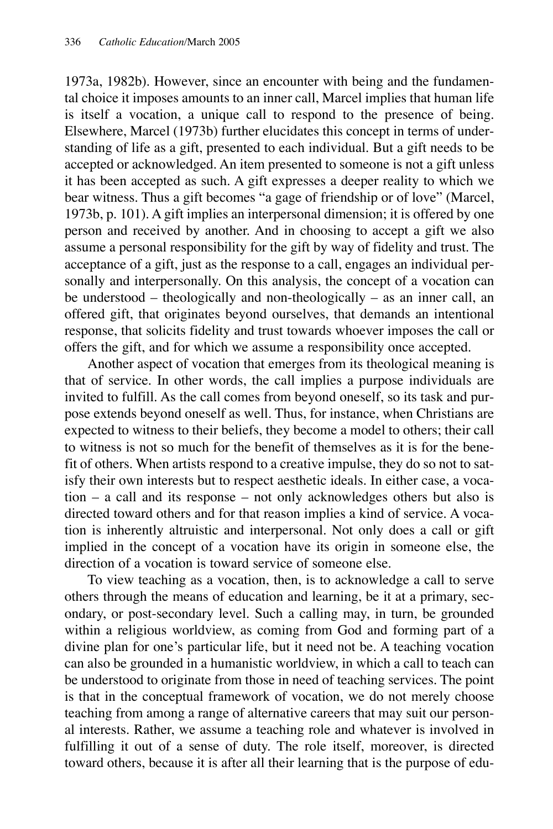1973a, 1982b). However, since an encounter with being and the fundamental choice it imposes amounts to an inner call, Marcel implies that human life is itself a vocation, a unique call to respond to the presence of being. Elsewhere, Marcel (1973b) further elucidates this concept in terms of understanding of life as a gift, presented to each individual. But a gift needs to be accepted or acknowledged. An item presented to someone is not a gift unless it has been accepted as such. A gift expresses a deeper reality to which we bear witness. Thus a gift becomes "a gage of friendship or of love" (Marcel, 1973b, p. 101). A gift implies an interpersonal dimension; it is offered by one person and received by another. And in choosing to accept a gift we also assume a personal responsibility for the gift by way of fidelity and trust. The acceptance of a gift, just as the response to a call, engages an individual personally and interpersonally. On this analysis, the concept of a vocation can be understood – theologically and non-theologically – as an inner call, an offered gift, that originates beyond ourselves, that demands an intentional response, that solicits fidelity and trust towards whoever imposes the call or offers the gift, and for which we assume a responsibility once accepted.

Another aspect of vocation that emerges from its theological meaning is that of service. In other words, the call implies a purpose individuals are invited to fulfill. As the call comes from beyond oneself, so its task and purpose extends beyond oneself as well. Thus, for instance, when Christians are expected to witness to their beliefs, they become a model to others; their call to witness is not so much for the benefit of themselves as it is for the benefit of others. When artists respond to a creative impulse, they do so not to satisfy their own interests but to respect aesthetic ideals. In either case, a vocation – a call and its response – not only acknowledges others but also is directed toward others and for that reason implies a kind of service. A vocation is inherently altruistic and interpersonal. Not only does a call or gift implied in the concept of a vocation have its origin in someone else, the direction of a vocation is toward service of someone else.

To view teaching as a vocation, then, is to acknowledge a call to serve others through the means of education and learning, be it at a primary, secondary, or post-secondary level. Such a calling may, in turn, be grounded within a religious worldview, as coming from God and forming part of a divine plan for one's particular life, but it need not be. A teaching vocation can also be grounded in a humanistic worldview, in which a call to teach can be understood to originate from those in need of teaching services. The point is that in the conceptual framework of vocation, we do not merely choose teaching from among a range of alternative careers that may suit our personal interests. Rather, we assume a teaching role and whatever is involved in fulfilling it out of a sense of duty. The role itself, moreover, is directed toward others, because it is after all their learning that is the purpose of edu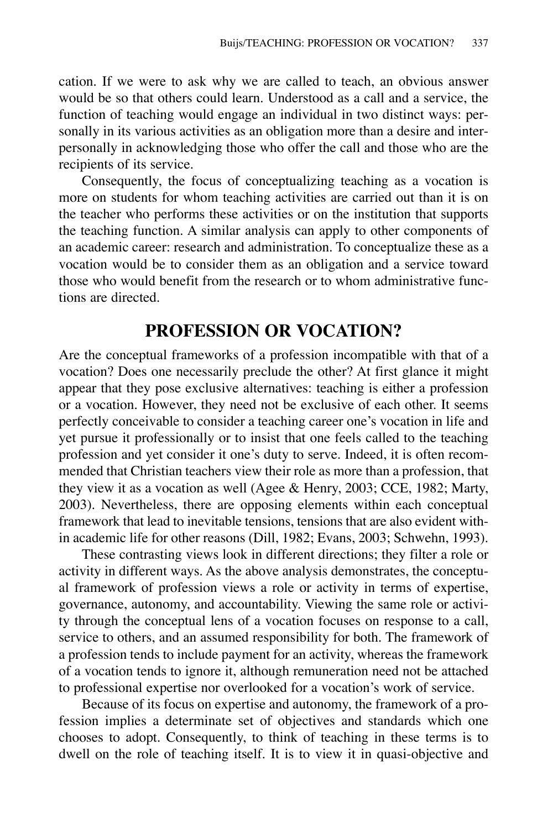cation. If we were to ask why we are called to teach, an obvious answer would be so that others could learn. Understood as a call and a service, the function of teaching would engage an individual in two distinct ways: personally in its various activities as an obligation more than a desire and interpersonally in acknowledging those who offer the call and those who are the recipients of its service.

Consequently, the focus of conceptualizing teaching as a vocation is more on students for whom teaching activities are carried out than it is on the teacher who performs these activities or on the institution that supports the teaching function. A similar analysis can apply to other components of an academic career: research and administration. To conceptualize these as a vocation would be to consider them as an obligation and a service toward those who would benefit from the research or to whom administrative functions are directed.

### **PROFESSION OR VOCATION?**

Are the conceptual frameworks of a profession incompatible with that of a vocation? Does one necessarily preclude the other? At first glance it might appear that they pose exclusive alternatives: teaching is either a profession or a vocation. However, they need not be exclusive of each other. It seems perfectly conceivable to consider a teaching career one's vocation in life and yet pursue it professionally or to insist that one feels called to the teaching profession and yet consider it one's duty to serve. Indeed, it is often recommended that Christian teachers view their role as more than a profession, that they view it as a vocation as well (Agee & Henry, 2003; CCE, 1982; Marty, 2003). Nevertheless, there are opposing elements within each conceptual framework that lead to inevitable tensions, tensions that are also evident within academic life for other reasons (Dill, 1982; Evans, 2003; Schwehn, 1993).

These contrasting views look in different directions; they filter a role or activity in different ways. As the above analysis demonstrates, the conceptual framework of profession views a role or activity in terms of expertise, governance, autonomy, and accountability. Viewing the same role or activity through the conceptual lens of a vocation focuses on response to a call, service to others, and an assumed responsibility for both. The framework of a profession tends to include payment for an activity, whereas the framework of a vocation tends to ignore it, although remuneration need not be attached to professional expertise nor overlooked for a vocation's work of service.

Because of its focus on expertise and autonomy, the framework of a profession implies a determinate set of objectives and standards which one chooses to adopt. Consequently, to think of teaching in these terms is to dwell on the role of teaching itself. It is to view it in quasi-objective and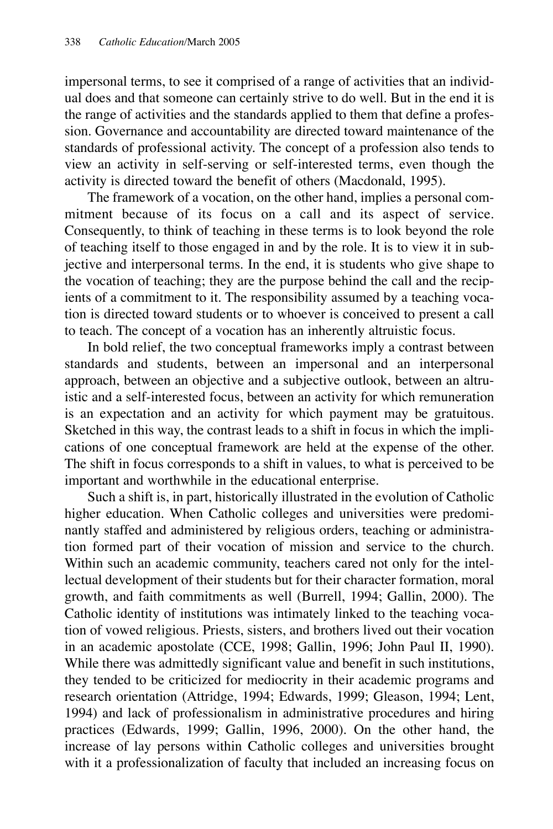impersonal terms, to see it comprised of a range of activities that an individual does and that someone can certainly strive to do well. But in the end it is the range of activities and the standards applied to them that define a profession. Governance and accountability are directed toward maintenance of the standards of professional activity. The concept of a profession also tends to view an activity in self-serving or self-interested terms, even though the activity is directed toward the benefit of others (Macdonald, 1995).

The framework of a vocation, on the other hand, implies a personal commitment because of its focus on a call and its aspect of service. Consequently, to think of teaching in these terms is to look beyond the role of teaching itself to those engaged in and by the role. It is to view it in subjective and interpersonal terms. In the end, it is students who give shape to the vocation of teaching; they are the purpose behind the call and the recipients of a commitment to it. The responsibility assumed by a teaching vocation is directed toward students or to whoever is conceived to present a call to teach. The concept of a vocation has an inherently altruistic focus.

In bold relief, the two conceptual frameworks imply a contrast between standards and students, between an impersonal and an interpersonal approach, between an objective and a subjective outlook, between an altruistic and a self-interested focus, between an activity for which remuneration is an expectation and an activity for which payment may be gratuitous. Sketched in this way, the contrast leads to a shift in focus in which the implications of one conceptual framework are held at the expense of the other. The shift in focus corresponds to a shift in values, to what is perceived to be important and worthwhile in the educational enterprise.

Such a shift is, in part, historically illustrated in the evolution of Catholic higher education. When Catholic colleges and universities were predominantly staffed and administered by religious orders, teaching or administration formed part of their vocation of mission and service to the church. Within such an academic community, teachers cared not only for the intellectual development of their students but for their character formation, moral growth, and faith commitments as well (Burrell, 1994; Gallin, 2000). The Catholic identity of institutions was intimately linked to the teaching vocation of vowed religious. Priests, sisters, and brothers lived out their vocation in an academic apostolate (CCE, 1998; Gallin, 1996; John Paul II, 1990). While there was admittedly significant value and benefit in such institutions, they tended to be criticized for mediocrity in their academic programs and research orientation (Attridge, 1994; Edwards, 1999; Gleason, 1994; Lent, 1994) and lack of professionalism in administrative procedures and hiring practices (Edwards, 1999; Gallin, 1996, 2000). On the other hand, the increase of lay persons within Catholic colleges and universities brought with it a professionalization of faculty that included an increasing focus on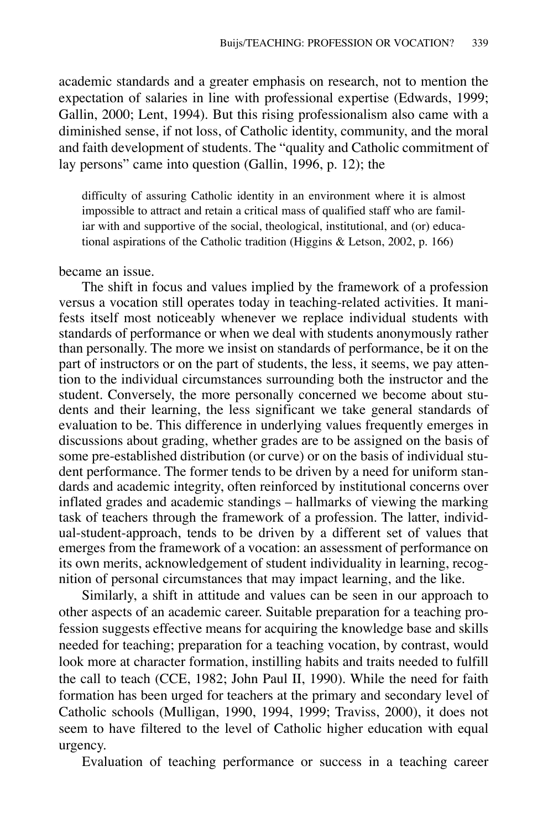academic standards and a greater emphasis on research, not to mention the expectation of salaries in line with professional expertise (Edwards, 1999; Gallin, 2000; Lent, 1994). But this rising professionalism also came with a diminished sense, if not loss, of Catholic identity, community, and the moral and faith development of students. The "quality and Catholic commitment of lay persons" came into question (Gallin, 1996, p. 12); the

difficulty of assuring Catholic identity in an environment where it is almost impossible to attract and retain a critical mass of qualified staff who are familiar with and supportive of the social, theological, institutional, and (or) educational aspirations of the Catholic tradition (Higgins & Letson, 2002, p. 166)

#### became an issue.

The shift in focus and values implied by the framework of a profession versus a vocation still operates today in teaching-related activities. It manifests itself most noticeably whenever we replace individual students with standards of performance or when we deal with students anonymously rather than personally. The more we insist on standards of performance, be it on the part of instructors or on the part of students, the less, it seems, we pay attention to the individual circumstances surrounding both the instructor and the student. Conversely, the more personally concerned we become about students and their learning, the less significant we take general standards of evaluation to be. This difference in underlying values frequently emerges in discussions about grading, whether grades are to be assigned on the basis of some pre-established distribution (or curve) or on the basis of individual student performance. The former tends to be driven by a need for uniform standards and academic integrity, often reinforced by institutional concerns over inflated grades and academic standings – hallmarks of viewing the marking task of teachers through the framework of a profession. The latter, individual-student-approach, tends to be driven by a different set of values that emerges from the framework of a vocation: an assessment of performance on its own merits, acknowledgement of student individuality in learning, recognition of personal circumstances that may impact learning, and the like.

Similarly, a shift in attitude and values can be seen in our approach to other aspects of an academic career. Suitable preparation for a teaching profession suggests effective means for acquiring the knowledge base and skills needed for teaching; preparation for a teaching vocation, by contrast, would look more at character formation, instilling habits and traits needed to fulfill the call to teach (CCE, 1982; John Paul II, 1990). While the need for faith formation has been urged for teachers at the primary and secondary level of Catholic schools (Mulligan, 1990, 1994, 1999; Traviss, 2000), it does not seem to have filtered to the level of Catholic higher education with equal urgency.

Evaluation of teaching performance or success in a teaching career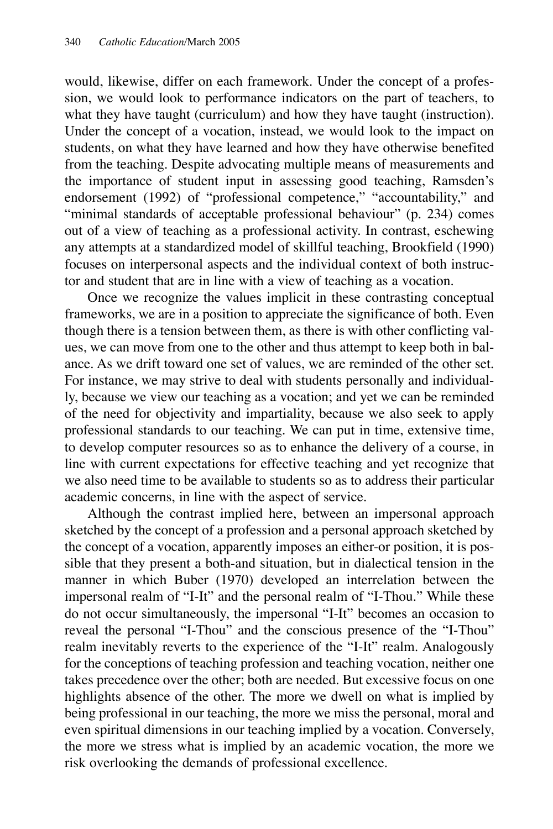would, likewise, differ on each framework. Under the concept of a profession, we would look to performance indicators on the part of teachers, to what they have taught (curriculum) and how they have taught (instruction). Under the concept of a vocation, instead, we would look to the impact on students, on what they have learned and how they have otherwise benefited from the teaching. Despite advocating multiple means of measurements and the importance of student input in assessing good teaching, Ramsden's endorsement (1992) of "professional competence," "accountability," and "minimal standards of acceptable professional behaviour" (p. 234) comes out of a view of teaching as a professional activity. In contrast, eschewing any attempts at a standardized model of skillful teaching, Brookfield (1990) focuses on interpersonal aspects and the individual context of both instructor and student that are in line with a view of teaching as a vocation.

Once we recognize the values implicit in these contrasting conceptual frameworks, we are in a position to appreciate the significance of both. Even though there is a tension between them, as there is with other conflicting values, we can move from one to the other and thus attempt to keep both in balance. As we drift toward one set of values, we are reminded of the other set. For instance, we may strive to deal with students personally and individually, because we view our teaching as a vocation; and yet we can be reminded of the need for objectivity and impartiality, because we also seek to apply professional standards to our teaching. We can put in time, extensive time, to develop computer resources so as to enhance the delivery of a course, in line with current expectations for effective teaching and yet recognize that we also need time to be available to students so as to address their particular academic concerns, in line with the aspect of service.

Although the contrast implied here, between an impersonal approach sketched by the concept of a profession and a personal approach sketched by the concept of a vocation, apparently imposes an either-or position, it is possible that they present a both-and situation, but in dialectical tension in the manner in which Buber (1970) developed an interrelation between the impersonal realm of "I-It" and the personal realm of "I-Thou." While these do not occur simultaneously, the impersonal "I-It" becomes an occasion to reveal the personal "I-Thou" and the conscious presence of the "I-Thou" realm inevitably reverts to the experience of the "I-It" realm. Analogously for the conceptions of teaching profession and teaching vocation, neither one takes precedence over the other; both are needed. But excessive focus on one highlights absence of the other. The more we dwell on what is implied by being professional in our teaching, the more we miss the personal, moral and even spiritual dimensions in our teaching implied by a vocation. Conversely, the more we stress what is implied by an academic vocation, the more we risk overlooking the demands of professional excellence.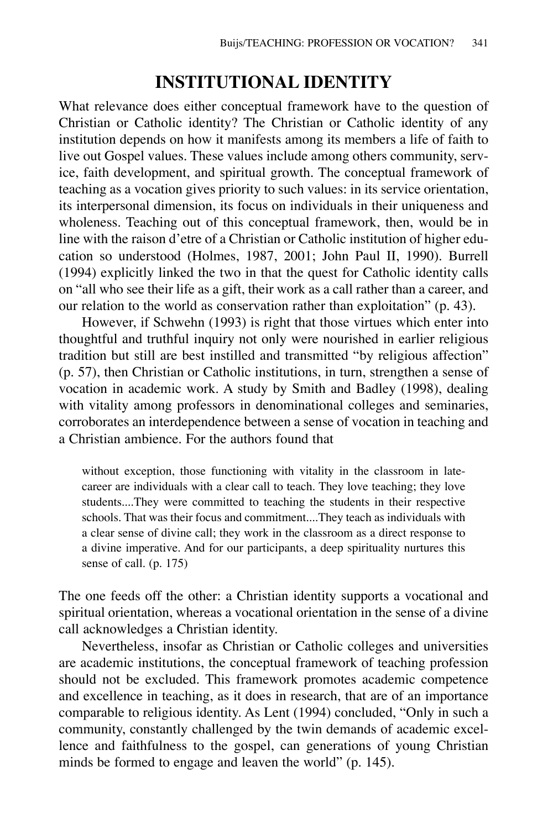## **INSTITUTIONAL IDENTITY**

What relevance does either conceptual framework have to the question of Christian or Catholic identity? The Christian or Catholic identity of any institution depends on how it manifests among its members a life of faith to live out Gospel values. These values include among others community, service, faith development, and spiritual growth. The conceptual framework of teaching as a vocation gives priority to such values: in its service orientation, its interpersonal dimension, its focus on individuals in their uniqueness and wholeness. Teaching out of this conceptual framework, then, would be in line with the raison d'etre of a Christian or Catholic institution of higher education so understood (Holmes, 1987, 2001; John Paul II, 1990). Burrell (1994) explicitly linked the two in that the quest for Catholic identity calls on "all who see their life as a gift, their work as a call rather than a career, and our relation to the world as conservation rather than exploitation" (p. 43).

However, if Schwehn (1993) is right that those virtues which enter into thoughtful and truthful inquiry not only were nourished in earlier religious tradition but still are best instilled and transmitted "by religious affection" (p. 57), then Christian or Catholic institutions, in turn, strengthen a sense of vocation in academic work. A study by Smith and Badley (1998), dealing with vitality among professors in denominational colleges and seminaries, corroborates an interdependence between a sense of vocation in teaching and a Christian ambience. For the authors found that

without exception, those functioning with vitality in the classroom in latecareer are individuals with a clear call to teach. They love teaching; they love students....They were committed to teaching the students in their respective schools. That was their focus and commitment....They teach as individuals with a clear sense of divine call; they work in the classroom as a direct response to a divine imperative. And for our participants, a deep spirituality nurtures this sense of call. (p. 175)

The one feeds off the other: a Christian identity supports a vocational and spiritual orientation, whereas a vocational orientation in the sense of a divine call acknowledges a Christian identity.

Nevertheless, insofar as Christian or Catholic colleges and universities are academic institutions, the conceptual framework of teaching profession should not be excluded. This framework promotes academic competence and excellence in teaching, as it does in research, that are of an importance comparable to religious identity. As Lent (1994) concluded, "Only in such a community, constantly challenged by the twin demands of academic excellence and faithfulness to the gospel, can generations of young Christian minds be formed to engage and leaven the world" (p. 145).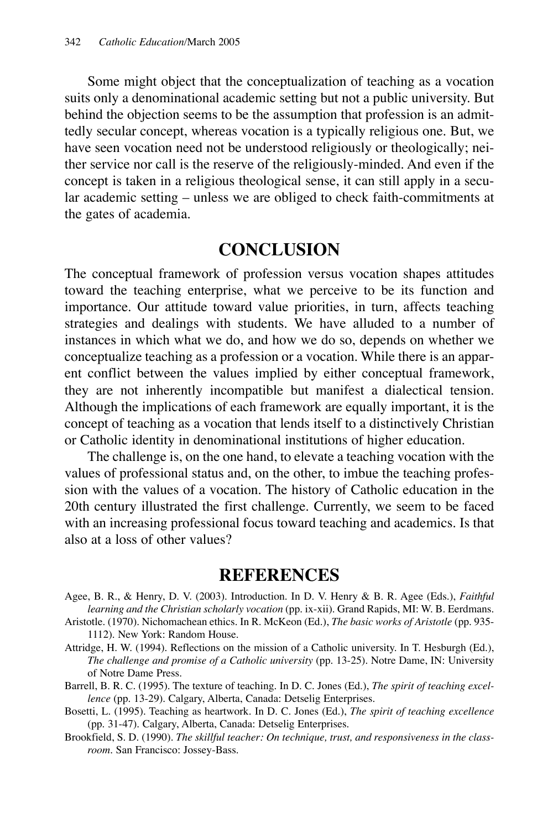Some might object that the conceptualization of teaching as a vocation suits only a denominational academic setting but not a public university. But behind the objection seems to be the assumption that profession is an admittedly secular concept, whereas vocation is a typically religious one. But, we have seen vocation need not be understood religiously or theologically; neither service nor call is the reserve of the religiously-minded. And even if the concept is taken in a religious theological sense, it can still apply in a secular academic setting – unless we are obliged to check faith-commitments at the gates of academia.

### **CONCLUSION**

The conceptual framework of profession versus vocation shapes attitudes toward the teaching enterprise, what we perceive to be its function and importance. Our attitude toward value priorities, in turn, affects teaching strategies and dealings with students. We have alluded to a number of instances in which what we do, and how we do so, depends on whether we conceptualize teaching as a profession or a vocation. While there is an apparent conflict between the values implied by either conceptual framework, they are not inherently incompatible but manifest a dialectical tension. Although the implications of each framework are equally important, it is the concept of teaching as a vocation that lends itself to a distinctively Christian or Catholic identity in denominational institutions of higher education.

The challenge is, on the one hand, to elevate a teaching vocation with the values of professional status and, on the other, to imbue the teaching profession with the values of a vocation. The history of Catholic education in the 20th century illustrated the first challenge. Currently, we seem to be faced with an increasing professional focus toward teaching and academics. Is that also at a loss of other values?

### **REFERENCES**

- Agee, B. R., & Henry, D. V. (2003). Introduction. In D. V. Henry & B. R. Agee (Eds.), *Faithful learning and the Christian scholarly vocation* (pp. ix-xii). Grand Rapids, MI: W. B. Eerdmans.
- Aristotle. (1970). Nichomachean ethics. In R. McKeon (Ed.), *The basic works of Aristotle* (pp. 935- 1112). New York: Random House.
- Attridge, H. W. (1994). Reflections on the mission of a Catholic university. In T. Hesburgh (Ed.), *The challenge and promise of a Catholic university* (pp. 13-25). Notre Dame, IN: University of Notre Dame Press.
- Barrell, B. R. C. (1995). The texture of teaching. In D. C. Jones (Ed.), *The spirit of teaching excellence* (pp. 13-29). Calgary, Alberta, Canada: Detselig Enterprises.
- Bosetti, L. (1995). Teaching as heartwork. In D. C. Jones (Ed.), *The spirit of teaching excellence* (pp. 31-47). Calgary, Alberta, Canada: Detselig Enterprises.
- Brookfield, S. D. (1990). *The skillful teacher: On technique, trust, and responsiveness in the classroom*. San Francisco: Jossey-Bass.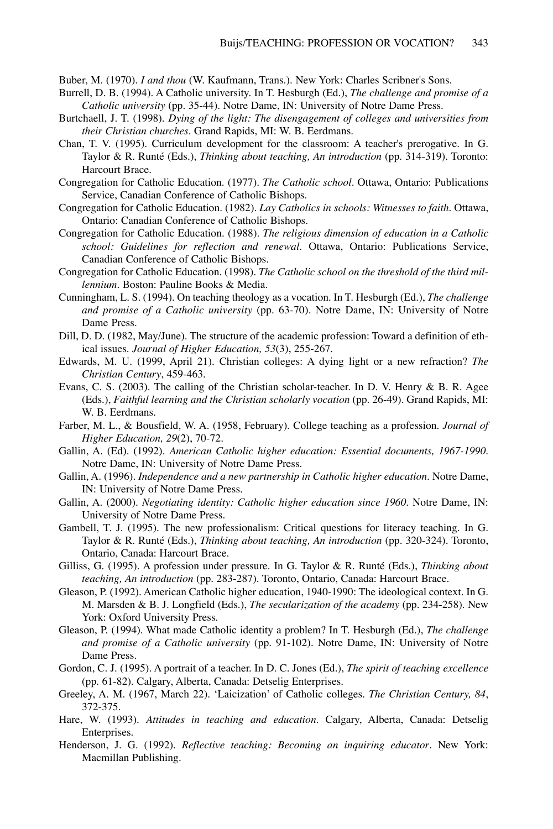Buber, M. (1970). *I and thou* (W. Kaufmann, Trans.). New York: Charles Scribner's Sons.

- Burrell, D. B. (1994). A Catholic university. In T. Hesburgh (Ed.), *The challenge and promise of a Catholic university* (pp. 35-44). Notre Dame, IN: University of Notre Dame Press.
- Burtchaell, J. T. (1998). *Dying of the light: The disengagement of colleges and universities from their Christian churches*. Grand Rapids, MI: W. B. Eerdmans.
- Chan, T. V. (1995). Curriculum development for the classroom: A teacher's prerogative. In G. Taylor & R. Runté (Eds.), *Thinking about teaching, An introduction* (pp. 314-319). Toronto: Harcourt Brace.
- Congregation for Catholic Education. (1977). *The Catholic school*. Ottawa, Ontario: Publications Service, Canadian Conference of Catholic Bishops.
- Congregation for Catholic Education. (1982). *Lay Catholics in schools: Witnesses to faith*. Ottawa, Ontario: Canadian Conference of Catholic Bishops.
- Congregation for Catholic Education. (1988). *The religious dimension of education in a Catholic school: Guidelines for reflection and renewal*. Ottawa, Ontario: Publications Service, Canadian Conference of Catholic Bishops.
- Congregation for Catholic Education. (1998). *The Catholic school on the threshold of the third millennium*. Boston: Pauline Books & Media.
- Cunningham, L. S. (1994). On teaching theology as a vocation. In T. Hesburgh (Ed.), *The challenge and promise of a Catholic university* (pp. 63-70). Notre Dame, IN: University of Notre Dame Press.
- Dill, D. D. (1982, May/June). The structure of the academic profession: Toward a definition of ethical issues. *Journal of Higher Education, 53*(3), 255-267.
- Edwards, M. U. (1999, April 21). Christian colleges: A dying light or a new refraction? *The Christian Century*, 459-463.
- Evans, C. S. (2003). The calling of the Christian scholar-teacher. In D. V. Henry & B. R. Agee (Eds.), *Faithful learning and the Christian scholarly vocation* (pp. 26-49). Grand Rapids, MI: W. B. Eerdmans.
- Farber, M. L., & Bousfield, W. A. (1958, February). College teaching as a profession. *Journal of Higher Education, 29*(2), 70-72.
- Gallin, A. (Ed). (1992). *American Catholic higher education: Essential documents, 1967-1990*. Notre Dame, IN: University of Notre Dame Press.
- Gallin, A. (1996). *Independence and a new partnership in Catholic higher education*. Notre Dame, IN: University of Notre Dame Press.
- Gallin, A. (2000). *Negotiating identity: Catholic higher education since 1960*. Notre Dame, IN: University of Notre Dame Press.
- Gambell, T. J. (1995). The new professionalism: Critical questions for literacy teaching. In G. Taylor & R. Runté (Eds.), *Thinking about teaching, An introduction* (pp. 320-324). Toronto, Ontario, Canada: Harcourt Brace.
- Gilliss, G. (1995). A profession under pressure. In G. Taylor & R. Runté (Eds.), *Thinking about teaching, An introduction* (pp. 283-287). Toronto, Ontario, Canada: Harcourt Brace.
- Gleason, P. (1992). American Catholic higher education, 1940-1990: The ideological context. In G. M. Marsden & B. J. Longfield (Eds.), *The secularization of the academy* (pp. 234-258). New York: Oxford University Press.
- Gleason, P. (1994). What made Catholic identity a problem? In T. Hesburgh (Ed.), *The challenge and promise of a Catholic university* (pp. 91-102). Notre Dame, IN: University of Notre Dame Press.
- Gordon, C. J. (1995). A portrait of a teacher. In D. C. Jones (Ed.), *The spirit of teaching excellence* (pp. 61-82). Calgary, Alberta, Canada: Detselig Enterprises.
- Greeley, A. M. (1967, March 22). 'Laicization' of Catholic colleges. *The Christian Century, 84*, 372-375.
- Hare, W. (1993). *Attitudes in teaching and education*. Calgary, Alberta, Canada: Detselig Enterprises.
- Henderson, J. G. (1992). *Reflective teaching: Becoming an inquiring educator*. New York: Macmillan Publishing.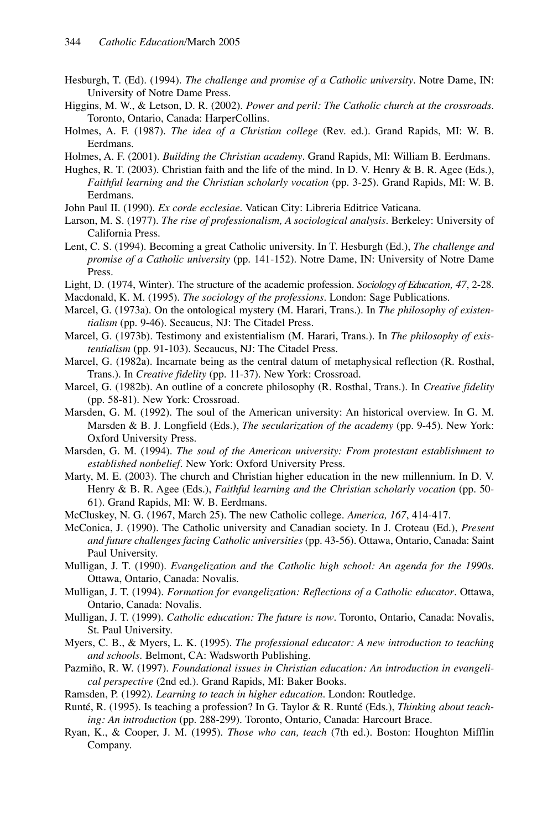- Hesburgh, T. (Ed). (1994). *The challenge and promise of a Catholic university*. Notre Dame, IN: University of Notre Dame Press.
- Higgins, M. W., & Letson, D. R. (2002). *Power and peril: The Catholic church at the crossroads*. Toronto, Ontario, Canada: HarperCollins.
- Holmes, A. F. (1987). *The idea of a Christian college* (Rev. ed.). Grand Rapids, MI: W. B. Eerdmans.
- Holmes, A. F. (2001). *Building the Christian academy*. Grand Rapids, MI: William B. Eerdmans.
- Hughes, R. T. (2003). Christian faith and the life of the mind. In D. V. Henry & B. R. Agee (Eds.), *Faithful learning and the Christian scholarly vocation* (pp. 3-25). Grand Rapids, MI: W. B. Eerdmans.
- John Paul II. (1990). *Ex corde ecclesiae*. Vatican City: Libreria Editrice Vaticana.
- Larson, M. S. (1977). *The rise of professionalism, A sociological analysis*. Berkeley: University of California Press.
- Lent, C. S. (1994). Becoming a great Catholic university. In T. Hesburgh (Ed.), *The challenge and promise of a Catholic university* (pp. 141-152). Notre Dame, IN: University of Notre Dame Press.
- Light, D. (1974, Winter). The structure of the academic profession. *Sociology of Education, 47*, 2-28.

Macdonald, K. M. (1995). *The sociology of the professions*. London: Sage Publications.

- Marcel, G. (1973a). On the ontological mystery (M. Harari, Trans.). In *The philosophy of existentialism* (pp. 9-46). Secaucus, NJ: The Citadel Press.
- Marcel, G. (1973b). Testimony and existentialism (M. Harari, Trans.). In *The philosophy of existentialism* (pp. 91-103). Secaucus, NJ: The Citadel Press.
- Marcel, G. (1982a). Incarnate being as the central datum of metaphysical reflection (R. Rosthal, Trans.). In *Creative fidelity* (pp. 11-37). New York: Crossroad.
- Marcel, G. (1982b). An outline of a concrete philosophy (R. Rosthal, Trans.). In *Creative fidelity* (pp. 58-81). New York: Crossroad.
- Marsden, G. M. (1992). The soul of the American university: An historical overview. In G. M. Marsden & B. J. Longfield (Eds.), *The secularization of the academy* (pp. 9-45). New York: Oxford University Press.
- Marsden, G. M. (1994). *The soul of the American university: From protestant establishment to established nonbelief*. New York: Oxford University Press.
- Marty, M. E. (2003). The church and Christian higher education in the new millennium. In D. V. Henry & B. R. Agee (Eds.), *Faithful learning and the Christian scholarly vocation* (pp. 50-61). Grand Rapids, MI: W. B. Eerdmans.
- McCluskey, N. G. (1967, March 25). The new Catholic college. *America, 167*, 414-417.
- McConica, J. (1990). The Catholic university and Canadian society. In J. Croteau (Ed.), *Present and future challenges facing Catholic universities* (pp. 43-56). Ottawa, Ontario, Canada: Saint Paul University.
- Mulligan, J. T. (1990). *Evangelization and the Catholic high school: An agenda for the 1990s*. Ottawa, Ontario, Canada: Novalis.
- Mulligan, J. T. (1994). *Formation for evangelization: Reflections of a Catholic educator*. Ottawa, Ontario, Canada: Novalis.
- Mulligan, J. T. (1999). *Catholic education: The future is now*. Toronto, Ontario, Canada: Novalis, St. Paul University.
- Myers, C. B., & Myers, L. K. (1995). *The professional educator: A new introduction to teaching and schools*. Belmont, CA: Wadsworth Publishing.
- Pazmiño, R. W. (1997). *Foundational issues in Christian education: An introduction in evangelical perspective* (2nd ed.). Grand Rapids, MI: Baker Books.
- Ramsden, P. (1992). *Learning to teach in higher education*. London: Routledge.
- Runté, R. (1995). Is teaching a profession? In G. Taylor & R. Runté (Eds.), *Thinking about teaching: An introduction* (pp. 288-299). Toronto, Ontario, Canada: Harcourt Brace.
- Ryan, K., & Cooper, J. M. (1995). *Those who can, teach* (7th ed.). Boston: Houghton Mifflin Company.